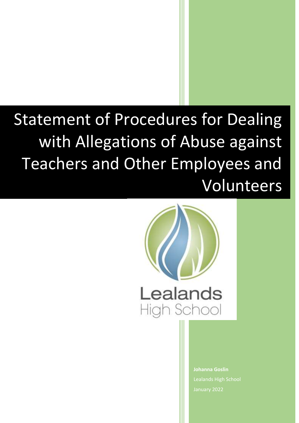# **Statement of Procedures for Dealing** with Allegations of Abuse against Teachers and Other Employees and Volunteers



**Johanna Goslin** Lealands High School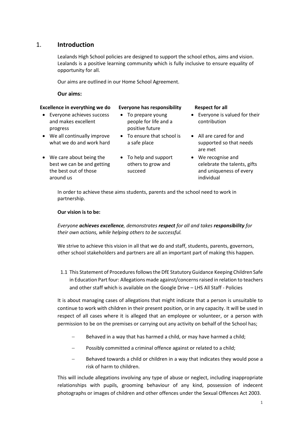### 1. **Introduction**

Lealands High School policies are designed to support the school ethos, aims and vision. Lealands is a positive learning community which is fully inclusive to ensure equality of opportunity for all.

Our aims are outlined in our Home School Agreement.

**Our aims:**

### **Excellence in everything we do Everyone has responsibility Respect for all**

 Everyone achieves success and makes excellent progress

- To prepare young people for life and a positive future • To ensure that school is
- We all continually improve what we do and work hard
- We care about being the best we can be and getting the best out of those around us
- To help and support others to grow and succeed

a safe place

- Everyone is valued for their contribution
- All are cared for and supported so that needs are met
- We recognise and celebrate the talents, gifts and uniqueness of every individual

In order to achieve these aims students, parents and the school need to work in partnership.

### **Our vision is to be:**

*Everyone achieves excellence, demonstrates respect for all and takes responsibility for their own actions, while helping others to be successful.*

We strive to achieve this vision in all that we do and staff, students, parents, governors, other school stakeholders and partners are all an important part of making this happen.

1.1 This Statement of Procedures follows the DfE Statutory Guidance Keeping Children Safe in Education Part four: Allegations made against/concerns raised in relation to teachers and other staff which is available on the Google Drive – LHS All Staff - Policies

It is about managing cases of allegations that might indicate that a person is unsuitable to continue to work with children in their present position, or in any capacity. It will be used in respect of all cases where it is alleged that an employee or volunteer, or a person with permission to be on the premises or carrying out any activity on behalf of the School has;

- Behaved in a way that has harmed a child, or may have harmed a child;
- Possibly committed a criminal offence against or related to a child;
- Behaved towards a child or children in a way that indicates they would pose a risk of harm to children.

This will include allegations involving any type of abuse or neglect, including inappropriate relationships with pupils, grooming behaviour of any kind, possession of indecent photographs or images of children and other offences under the Sexual Offences Act 2003.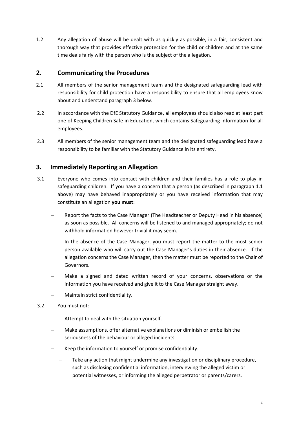1.2 Any allegation of abuse will be dealt with as quickly as possible, in a fair, consistent and thorough way that provides effective protection for the child or children and at the same time deals fairly with the person who is the subject of the allegation.

## **2. Communicating the Procedures**

- 2.1 All members of the senior management team and the designated safeguarding lead with responsibility for child protection have a responsibility to ensure that all employees know about and understand paragraph 3 below.
- 2.2 In accordance with the DfE Statutory Guidance, all employees should also read at least part one of Keeping Children Safe in Education, which contains Safeguarding information for all employees.
- 2.3 All members of the senior management team and the designated safeguarding lead have a responsibility to be familiar with the Statutory Guidance in its entirety.

# **3. Immediately Reporting an Allegation**

- 3.1 Everyone who comes into contact with children and their families has a role to play in safeguarding children. If you have a concern that a person (as described in paragraph 1.1 above) may have behaved inappropriately or you have received information that may constitute an allegation **you must**:
	- Report the facts to the Case Manager (The Headteacher or Deputy Head in his absence) as soon as possible. All concerns will be listened to and managed appropriately; do not withhold information however trivial it may seem.
	- In the absence of the Case Manager, you must report the matter to the most senior person available who will carry out the Case Manager's duties in their absence. If the allegation concerns the Case Manager, then the matter must be reported to the Chair of Governors.
	- Make a signed and dated written record of your concerns, observations or the information you have received and give it to the Case Manager straight away.
	- Maintain strict confidentiality.
- 3.2 You must not:
	- Attempt to deal with the situation yourself.
	- Make assumptions, offer alternative explanations or diminish or embellish the seriousness of the behaviour or alleged incidents.
	- Keep the information to yourself or promise confidentiality.
		- Take any action that might undermine any investigation or disciplinary procedure, such as disclosing confidential information, interviewing the alleged victim or potential witnesses, or informing the alleged perpetrator or parents/carers.